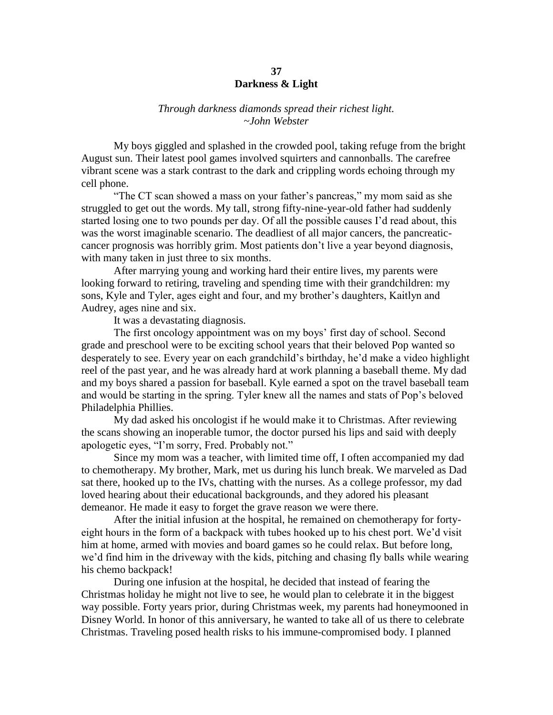## **37 Darkness & Light**

## *Through darkness diamonds spread their richest light. ~John Webster*

My boys giggled and splashed in the crowded pool, taking refuge from the bright August sun. Their latest pool games involved squirters and cannonballs. The carefree vibrant scene was a stark contrast to the dark and crippling words echoing through my cell phone.

"The CT scan showed a mass on your father's pancreas," my mom said as she struggled to get out the words. My tall, strong fifty-nine-year-old father had suddenly started losing one to two pounds per day. Of all the possible causes I'd read about, this was the worst imaginable scenario. The deadliest of all major cancers, the pancreaticcancer prognosis was horribly grim. Most patients don't live a year beyond diagnosis, with many taken in just three to six months.

After marrying young and working hard their entire lives, my parents were looking forward to retiring, traveling and spending time with their grandchildren: my sons, Kyle and Tyler, ages eight and four, and my brother's daughters, Kaitlyn and Audrey, ages nine and six.

It was a devastating diagnosis.

The first oncology appointment was on my boys' first day of school. Second grade and preschool were to be exciting school years that their beloved Pop wanted so desperately to see. Every year on each grandchild's birthday, he'd make a video highlight reel of the past year, and he was already hard at work planning a baseball theme. My dad and my boys shared a passion for baseball. Kyle earned a spot on the travel baseball team and would be starting in the spring. Tyler knew all the names and stats of Pop's beloved Philadelphia Phillies.

My dad asked his oncologist if he would make it to Christmas. After reviewing the scans showing an inoperable tumor, the doctor pursed his lips and said with deeply apologetic eyes, "I'm sorry, Fred. Probably not."

Since my mom was a teacher, with limited time off, I often accompanied my dad to chemotherapy. My brother, Mark, met us during his lunch break. We marveled as Dad sat there, hooked up to the IVs, chatting with the nurses. As a college professor, my dad loved hearing about their educational backgrounds, and they adored his pleasant demeanor. He made it easy to forget the grave reason we were there.

After the initial infusion at the hospital, he remained on chemotherapy for fortyeight hours in the form of a backpack with tubes hooked up to his chest port. We'd visit him at home, armed with movies and board games so he could relax. But before long, we'd find him in the driveway with the kids, pitching and chasing fly balls while wearing his chemo backpack!

During one infusion at the hospital, he decided that instead of fearing the Christmas holiday he might not live to see, he would plan to celebrate it in the biggest way possible. Forty years prior, during Christmas week, my parents had honeymooned in Disney World. In honor of this anniversary, he wanted to take all of us there to celebrate Christmas. Traveling posed health risks to his immune-compromised body. I planned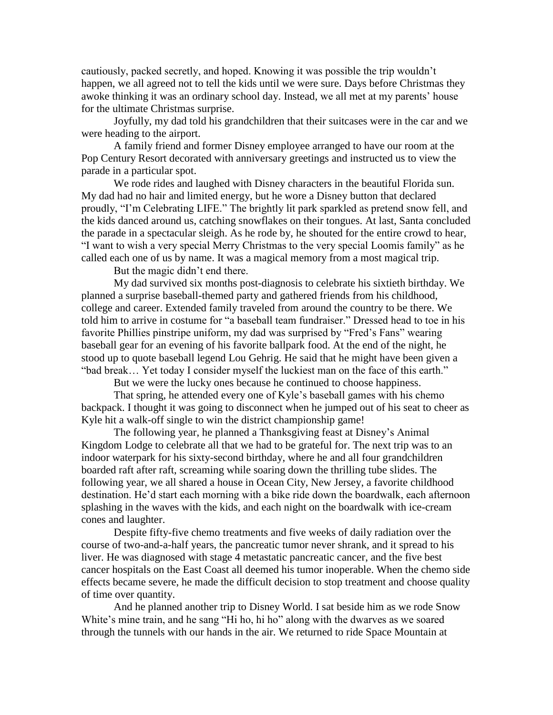cautiously, packed secretly, and hoped. Knowing it was possible the trip wouldn't happen, we all agreed not to tell the kids until we were sure. Days before Christmas they awoke thinking it was an ordinary school day. Instead, we all met at my parents' house for the ultimate Christmas surprise.

Joyfully, my dad told his grandchildren that their suitcases were in the car and we were heading to the airport.

A family friend and former Disney employee arranged to have our room at the Pop Century Resort decorated with anniversary greetings and instructed us to view the parade in a particular spot.

We rode rides and laughed with Disney characters in the beautiful Florida sun. My dad had no hair and limited energy, but he wore a Disney button that declared proudly, "I'm Celebrating LIFE." The brightly lit park sparkled as pretend snow fell, and the kids danced around us, catching snowflakes on their tongues. At last, Santa concluded the parade in a spectacular sleigh. As he rode by, he shouted for the entire crowd to hear, "I want to wish a very special Merry Christmas to the very special Loomis family" as he called each one of us by name. It was a magical memory from a most magical trip.

But the magic didn't end there.

My dad survived six months post-diagnosis to celebrate his sixtieth birthday. We planned a surprise baseball-themed party and gathered friends from his childhood, college and career. Extended family traveled from around the country to be there. We told him to arrive in costume for "a baseball team fundraiser." Dressed head to toe in his favorite Phillies pinstripe uniform, my dad was surprised by "Fred's Fans" wearing baseball gear for an evening of his favorite ballpark food. At the end of the night, he stood up to quote baseball legend Lou Gehrig. He said that he might have been given a "bad break… Yet today I consider myself the luckiest man on the face of this earth."

But we were the lucky ones because he continued to choose happiness.

That spring, he attended every one of Kyle's baseball games with his chemo backpack. I thought it was going to disconnect when he jumped out of his seat to cheer as Kyle hit a walk-off single to win the district championship game!

The following year, he planned a Thanksgiving feast at Disney's Animal Kingdom Lodge to celebrate all that we had to be grateful for. The next trip was to an indoor waterpark for his sixty-second birthday, where he and all four grandchildren boarded raft after raft, screaming while soaring down the thrilling tube slides. The following year, we all shared a house in Ocean City, New Jersey, a favorite childhood destination. He'd start each morning with a bike ride down the boardwalk, each afternoon splashing in the waves with the kids, and each night on the boardwalk with ice-cream cones and laughter.

Despite fifty-five chemo treatments and five weeks of daily radiation over the course of two-and-a-half years, the pancreatic tumor never shrank, and it spread to his liver. He was diagnosed with stage 4 metastatic pancreatic cancer, and the five best cancer hospitals on the East Coast all deemed his tumor inoperable. When the chemo side effects became severe, he made the difficult decision to stop treatment and choose quality of time over quantity.

And he planned another trip to Disney World. I sat beside him as we rode Snow White's mine train, and he sang "Hi ho, hi ho" along with the dwarves as we soared through the tunnels with our hands in the air. We returned to ride Space Mountain at